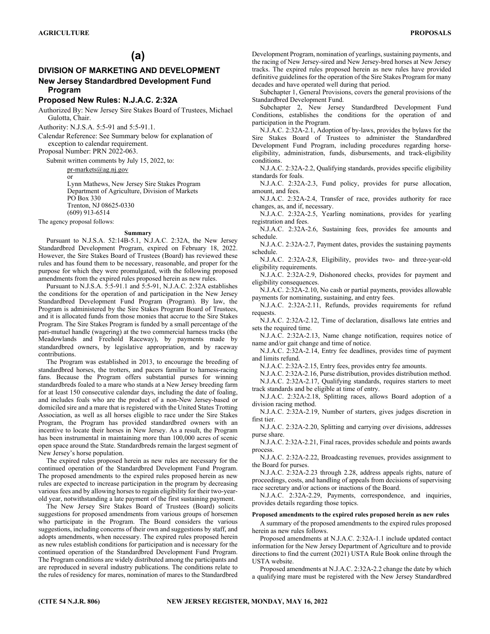# **(a)**

## **DIVISION OF MARKETING AND DEVELOPMENT New Jersey Standardbred Development Fund Program**

## **Proposed New Rules: N.J.A.C. 2:32A**

Authorized By: New Jersey Sire Stakes Board of Trustees, Michael Gulotta, Chair.

Authority: N.J.S.A. 5:5-91 and 5:5-91.1.

Calendar Reference: See Summary below for explanation of exception to calendar requirement.

Proposal Number: PRN 2022-063.

Submit written comments by July 15, 2022, to:

pr-markets@ag.nj.gov or Lynn Mathews, New Jersey Sire Stakes Program Department of Agriculture, Division of Markets PO Box 330 Trenton, NJ 08625-0330 (609) 913-6514

The agency proposal follows:

#### **Summary**

Pursuant to N.J.S.A. 52:14B-5.1, N.J.A.C. 2:32A, the New Jersey Standardbred Development Program, expired on February 18, 2022. However, the Sire Stakes Board of Trustees (Board) has reviewed these rules and has found them to be necessary, reasonable, and proper for the purpose for which they were promulgated, with the following proposed amendments from the expired rules proposed herein as new rules.

Pursuant to N.J.S.A. 5:5-91.1 and 5:5-91, N.J.A.C. 2:32A establishes the conditions for the operation of and participation in the New Jersey Standardbred Development Fund Program (Program). By law, the Program is administered by the Sire Stakes Program Board of Trustees, and it is allocated funds from those monies that accrue to the Sire Stakes Program. The Sire Stakes Program is funded by a small percentage of the pari-mutuel handle (wagering) at the two commercial harness tracks (the Meadowlands and Freehold Raceway), by payments made by standardbred owners, by legislative appropriation, and by raceway contributions.

The Program was established in 2013, to encourage the breeding of standardbred horses, the trotters, and pacers familiar to harness-racing fans. Because the Program offers substantial purses for winning standardbreds foaled to a mare who stands at a New Jersey breeding farm for at least 150 consecutive calendar days, including the date of foaling, and includes foals who are the product of a non-New Jersey-based or domiciled sire and a mare that is registered with the United States Trotting Association, as well as all horses eligible to race under the Sire Stakes Program, the Program has provided standardbred owners with an incentive to locate their horses in New Jersey. As a result, the Program has been instrumental in maintaining more than 100,000 acres of scenic open space around the State. Standardbreds remain the largest segment of New Jersey's horse population.

The expired rules proposed herein as new rules are necessary for the continued operation of the Standardbred Development Fund Program. The proposed amendments to the expired rules proposed herein as new rules are expected to increase participation in the program by decreasing various fees and by allowing horses to regain eligibility for their two-yearold year, notwithstanding a late payment of the first sustaining payment.

The New Jersey Sire Stakes Board of Trustees (Board) solicits suggestions for proposed amendments from various groups of horsemen who participate in the Program. The Board considers the various suggestions, including concerns of their own and suggestions by staff, and adopts amendments, when necessary. The expired rules proposed herein as new rules establish conditions for participation and is necessary for the continued operation of the Standardbred Development Fund Program. The Program conditions are widely distributed among the participants and are reproduced in several industry publications. The conditions relate to the rules of residency for mares, nomination of mares to the Standardbred Development Program, nomination of yearlings, sustaining payments, and the racing of New Jersey-sired and New Jersey-bred horses at New Jersey tracks. The expired rules proposed herein as new rules have provided definitive guidelines for the operation of the Sire Stakes Program for many decades and have operated well during that period.

Subchapter 1, General Provisions, covers the general provisions of the Standardbred Development Fund.

Subchapter 2, New Jersey Standardbred Development Fund Conditions, establishes the conditions for the operation of and participation in the Program.

N.J.A.C. 2:32A-2.1, Adoption of by-laws, provides the bylaws for the Sire Stakes Board of Trustees to administer the Standardbred Development Fund Program, including procedures regarding horseeligibility, administration, funds, disbursements, and track-eligibility conditions.

N.J.A.C. 2:32A-2.2, Qualifying standards, provides specific eligibility standards for foals.

N.J.A.C. 2:32A-2.3, Fund policy, provides for purse allocation, amount, and fees.

N.J.A.C. 2:32A-2.4, Transfer of race, provides authority for race changes, as, and if, necessary.

N.J.A.C. 2:32A-2.5, Yearling nominations, provides for yearling registration and fees.

N.J.A.C. 2:32A-2.6, Sustaining fees, provides fee amounts and schedule.

N.J.A.C. 2:32A-2.7, Payment dates, provides the sustaining payments schedule.

N.J.A.C. 2:32A-2.8, Eligibility, provides two- and three-year-old eligibility requirements.

N.J.A.C. 2:32A-2.9, Dishonored checks, provides for payment and eligibility consequences.

N.J.A.C. 2:32A-2.10, No cash or partial payments, provides allowable payments for nominating, sustaining, and entry fees.

N.J.A.C. 2:32A-2.11, Refunds, provides requirements for refund requests.

N.J.A.C. 2:32A-2.12, Time of declaration, disallows late entries and sets the required time.

N.J.A.C. 2:32A-2.13, Name change notification, requires notice of name and/or gait change and time of notice.

N.J.A.C. 2:32A-2.14, Entry fee deadlines, provides time of payment and limits refund.

N.J.A.C. 2:32A-2.15, Entry fees, provides entry fee amounts.

N.J.A.C. 2:32A-2.16, Purse distribution, provides distribution method. N.J.A.C. 2:32A-2.17, Qualifying standards, requires starters to meet track standards and be eligible at time of entry.

N.J.A.C. 2:32A-2.18, Splitting races, allows Board adoption of a division racing method.

N.J.A.C. 2:32A-2.19, Number of starters, gives judges discretion in first tier.

N.J.A.C. 2:32A-2.20, Splitting and carrying over divisions, addresses purse share.

N.J.A.C. 2:32A-2.21, Final races, provides schedule and points awards process.

N.J.A.C. 2:32A-2.22, Broadcasting revenues, provides assignment to the Board for purses.

N.J.A.C. 2:32A-2.23 through 2.28, address appeals rights, nature of proceedings, costs, and handling of appeals from decisions of supervising race secretary and/or actions or inactions of the Board.

N.J.A.C. 2:32A-2.29, Payments, correspondence, and inquiries, provides details regarding those topics.

#### **Proposed amendments to the expired rules proposed herein as new rules**

A summary of the proposed amendments to the expired rules proposed herein as new rules follows.

Proposed amendments at N.J.A.C. 2:32A-1.1 include updated contact information for the New Jersey Department of Agriculture and to provide directions to find the current (2021) USTA Rule Book online through the USTA website.

Proposed amendments at N.J.A.C. 2:32A-2.2 change the date by which a qualifying mare must be registered with the New Jersey Standardbred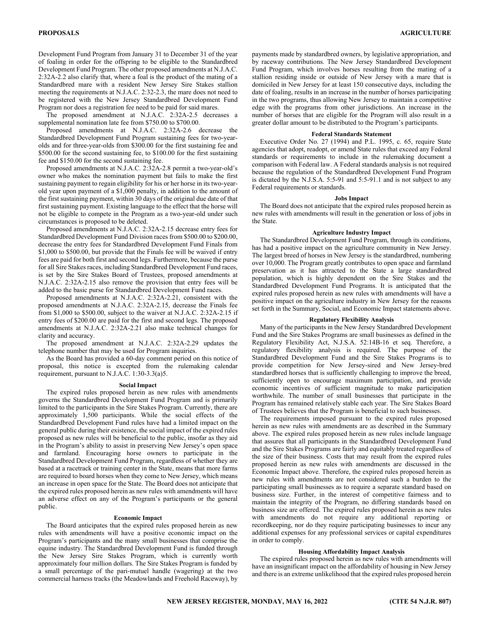Development Fund Program from January 31 to December 31 of the year of foaling in order for the offspring to be eligible to the Standardbred Development Fund Program. The other proposed amendments at N.J.A.C. 2:32A-2.2 also clarify that, where a foal is the product of the mating of a Standardbred mare with a resident New Jersey Sire Stakes stallion meeting the requirements at N.J.A.C. 2:32-2.3, the mare does not need to be registered with the New Jersey Standardbred Development Fund Program nor does a registration fee need to be paid for said mares.

The proposed amendment at N.J.A.C. 2:32A-2.5 decreases a supplemental nomination late fee from \$750.00 to \$700.00.

Proposed amendments at N.J.A.C. 2:32A-2.6 decrease the Standardbred Development Fund Program sustaining fees for two-yearolds and for three-year-olds from \$300.00 for the first sustaining fee and \$500.00 for the second sustaining fee, to \$100.00 for the first sustaining fee and \$150.00 for the second sustaining fee.

Proposed amendments at N.J.A.C. 2:32A-2.8 permit a two-year-old's owner who makes the nomination payment but fails to make the first sustaining payment to regain eligibility for his or her horse in its two-yearold year upon payment of a \$1,000 penalty, in addition to the amount of the first sustaining payment, within 30 days of the original due date of that first sustaining payment. Existing language to the effect that the horse will not be eligible to compete in the Program as a two-year-old under such circumstances is proposed to be deleted.

Proposed amendments at N.J.A.C. 2:32A-2.15 decrease entry fees for Standardbred Development Fund Division races from \$500.00 to \$200.00, decrease the entry fees for Standardbred Development Fund Finals from \$1,000 to \$500.00, but provide that the Finals fee will be waived if entry fees are paid for both first and second legs. Furthermore, because the purse for all Sire Stakes races, including Standardbred Development Fund races, is set by the Sire Stakes Board of Trustees, proposed amendments at N.J.A.C. 2:32A-2.15 also remove the provision that entry fees will be added to the basic purse for Standardbred Development Fund races.

Proposed amendments at N.J.A.C. 2:32A-2.21, consistent with the proposed amendments at N.J.A.C. 2:32A-2.15, decrease the Finals fee from \$1,000 to \$500.00, subject to the waiver at N.J.A.C. 2:32A-2.15 if entry fees of \$200.00 are paid for the first and second legs. The proposed amendments at N.J.A.C. 2:32A-2.21 also make technical changes for clarity and accuracy.

The proposed amendment at N.J.A.C. 2:32A-2.29 updates the telephone number that may be used for Program inquiries.

As the Board has provided a 60-day comment period on this notice of proposal, this notice is excepted from the rulemaking calendar requirement, pursuant to N.J.A.C. 1:30-3.3(a)5.

#### **Social Impact**

The expired rules proposed herein as new rules with amendments governs the Standardbred Development Fund Program and is primarily limited to the participants in the Sire Stakes Program. Currently, there are approximately 1,500 participants. While the social effects of the Standardbred Development Fund rules have had a limited impact on the general public during their existence, the social impact of the expired rules proposed as new rules will be beneficial to the public, insofar as they aid in the Program's ability to assist in preserving New Jersey's open space and farmland. Encouraging horse owners to participate in the Standardbred Development Fund Program, regardless of whether they are based at a racetrack or training center in the State, means that more farms are required to board horses when they come to New Jersey, which means an increase in open space for the State. The Board does not anticipate that the expired rules proposed herein as new rules with amendments will have an adverse effect on any of the Program's participants or the general public.

#### **Economic Impact**

The Board anticipates that the expired rules proposed herein as new rules with amendments will have a positive economic impact on the Program's participants and the many small businesses that comprise the equine industry. The Standardbred Development Fund is funded through the New Jersey Sire Stakes Program, which is currently worth approximately four million dollars. The Sire Stakes Program is funded by a small percentage of the pari-mutuel handle (wagering) at the two commercial harness tracks (the Meadowlands and Freehold Raceway), by

payments made by standardbred owners, by legislative appropriation, and by raceway contributions. The New Jersey Standardbred Development Fund Program, which involves horses resulting from the mating of a stallion residing inside or outside of New Jersey with a mare that is domiciled in New Jersey for at least 150 consecutive days, including the date of foaling, results in an increase in the number of horses participating in the two programs, thus allowing New Jersey to maintain a competitive edge with the programs from other jurisdictions. An increase in the number of horses that are eligible for the Program will also result in a greater dollar amount to be distributed to the Program's participants.

#### **Federal Standards Statement**

Executive Order No. 27 (1994) and P.L. 1995, c. 65, require State agencies that adopt, readopt, or amend State rules that exceed any Federal standards or requirements to include in the rulemaking document a comparison with Federal law. A Federal standards analysis is not required because the regulation of the Standardbred Development Fund Program is dictated by the N.J.S.A. 5:5-91 and 5:5-91.1 and is not subject to any Federal requirements or standards.

#### **Jobs Impact**

The Board does not anticipate that the expired rules proposed herein as new rules with amendments will result in the generation or loss of jobs in the State.

### **Agriculture Industry Impact**

The Standardbred Development Fund Program, through its conditions, has had a positive impact on the agriculture community in New Jersey. The largest breed of horses in New Jersey is the standardbred, numbering over 10,000. The Program greatly contributes to open space and farmland preservation as it has attracted to the State a large standardbred population, which is highly dependent on the Sire Stakes and the Standardbred Development Fund Programs. It is anticipated that the expired rules proposed herein as new rules with amendments will have a positive impact on the agriculture industry in New Jersey for the reasons set forth in the Summary, Social, and Economic Impact statements above.

## **Regulatory Flexibility Analysis**

Many of the participants in the New Jersey Standardbred Development Fund and the Sire Stakes Programs are small businesses as defined in the Regulatory Flexibility Act, N.J.S.A. 52:14B-16 et seq. Therefore, a regulatory flexibility analysis is required. The purpose of the Standardbred Development Fund and the Sire Stakes Programs is to provide competition for New Jersey-sired and New Jersey-bred standardbred horses that is sufficiently challenging to improve the breed, sufficiently open to encourage maximum participation, and provide economic incentives of sufficient magnitude to make participation worthwhile. The number of small businesses that participate in the Program has remained relatively stable each year. The Sire Stakes Board of Trustees believes that the Program is beneficial to such businesses.

The requirements imposed pursuant to the expired rules proposed herein as new rules with amendments are as described in the Summary above. The expired rules proposed herein as new rules include language that assures that all participants in the Standardbred Development Fund and the Sire Stakes Programs are fairly and equitably treated regardless of the size of their business. Costs that may result from the expired rules proposed herein as new rules with amendments are discussed in the Economic Impact above. Therefore, the expired rules proposed herein as new rules with amendments are not considered such a burden to the participating small businesses as to require a separate standard based on business size. Further, in the interest of competitive fairness and to maintain the integrity of the Program, no differing standards based on business size are offered. The expired rules proposed herein as new rules with amendments do not require any additional reporting or recordkeeping, nor do they require participating businesses to incur any additional expenses for any professional services or capital expenditures in order to comply.

#### **Housing Affordability Impact Analysis**

The expired rules proposed herein as new rules with amendments will have an insignificant impact on the affordability of housing in New Jersey and there is an extreme unlikelihood that the expired rules proposed herein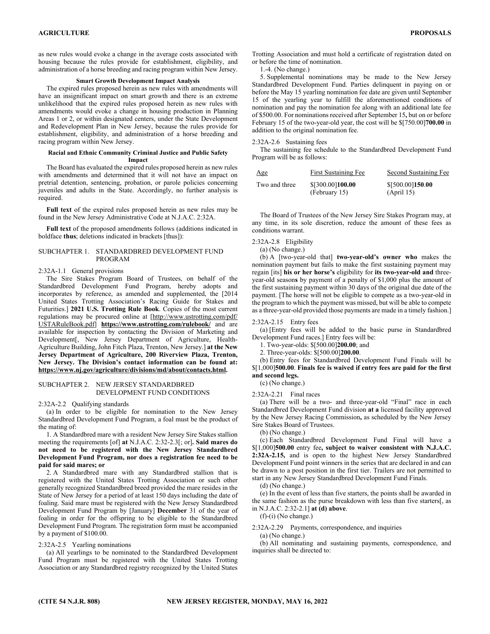as new rules would evoke a change in the average costs associated with housing because the rules provide for establishment, eligibility, and administration of a horse breeding and racing program within New Jersey.

### **Smart Growth Development Impact Analysis**

The expired rules proposed herein as new rules with amendments will have an insignificant impact on smart growth and there is an extreme unlikelihood that the expired rules proposed herein as new rules with amendments would evoke a change in housing production in Planning Areas 1 or 2, or within designated centers, under the State Development and Redevelopment Plan in New Jersey, because the rules provide for establishment, eligibility, and administration of a horse breeding and racing program within New Jersey.

## **Racial and Ethnic Community Criminal Justice and Public Safety Impact**

The Board has evaluated the expired rules proposed herein as new rules with amendments and determined that it will not have an impact on pretrial detention, sentencing, probation, or parole policies concerning juveniles and adults in the State. Accordingly, no further analysis is required.

**Full text** of the expired rules proposed herein as new rules may be found in the New Jersey Administrative Code at N.J.A.C. 2:32A.

**Full text** of the proposed amendments follows (additions indicated in boldface **thus**; deletions indicated in brackets [thus]):

## SUBCHAPTER 1. STANDARDBRED DEVELOPMENT FUND PROGRAM

#### 2:32A-1.1 General provisions

The Sire Stakes Program Board of Trustees, on behalf of the Standardbred Development Fund Program, hereby adopts and incorporates by reference, as amended and supplemented, the [2014 United States Trotting Association's Racing Guide for Stakes and Futurities.] **2021 U.S. Trotting Rule Book**. Copies of the most current regulations may be procured online at [http://www.ustrotting.com/pdf/ USTARuleBook.pdf] **https://www.ustrotting.com/rulebook/** and are available for inspection by contacting the Division of Marketing and Development[, New Jersey Department of Agriculture, Health-Agriculture Building, John Fitch Plaza, Trenton, New Jersey.] **at the New Jersey Department of Agriculture, 200 Riverview Plaza, Trenton, New Jersey. The Division's contact information can be found at: https://www.nj.gov/agriculture/divisions/md/about/contacts.html.** 

#### SUBCHAPTER 2. NEW JERSEY STANDARDBRED DEVELOPMENT FUND CONDITIONS

2:32A-2.2 Qualifying standards

(a) In order to be eligible for nomination to the New Jersey Standardbred Development Fund Program, a foal must be the product of the mating of:

1. A Standardbred mare with a resident New Jersey Sire Stakes stallion meeting the requirements [of] **at** N.J.A.C. 2:32-2.3[; or]**. Said mares do not need to be registered with the New Jersey Standardbred Development Fund Program, nor does a registration fee need to be paid for said mares; or**

2. A Standardbred mare with any Standardbred stallion that is registered with the United States Trotting Association or such other generally recognized Standardbred breed provided the mare resides in the State of New Jersey for a period of at least 150 days including the date of foaling. Said mare must be registered with the New Jersey Standardbred Development Fund Program by [January] **December** 31 of the year of foaling in order for the offspring to be eligible to the Standardbred Development Fund Program. The registration form must be accompanied by a payment of \$100.00.

#### 2:32A-2.5 Yearling nominations

(a) All yearlings to be nominated to the Standardbred Development Fund Program must be registered with the United States Trotting Association or any Standardbred registry recognized by the United States

Trotting Association and must hold a certificate of registration dated on or before the time of nomination.

1.-4. (No change.)

5. Supplemental nominations may be made to the New Jersey Standardbred Development Fund. Parties delinquent in paying on or before the May 15 yearling nomination fee date are given until September 15 of the yearling year to fulfill the aforementioned conditions of nomination and pay the nomination fee along with an additional late fee of \$500.00. For nominations received after September 15**,** but on or before February 15 of the two-year-old year, the cost will be \$[750.00]**700.00** in addition to the original nomination fee.

## 2:32A-2.6 Sustaining fees

The sustaining fee schedule to the Standardbred Development Fund Program will be as follows:

| Age           | First Sustaining Fee              | Second Sustaining Fee          |
|---------------|-----------------------------------|--------------------------------|
| Two and three | \$[300.00]100.00<br>(February 15) | \$[500.00]150.00<br>(April 15) |

The Board of Trustees of the New Jersey Sire Stakes Program may, at any time, in its sole discretion, reduce the amount of these fees as conditions warrant.

2:32A-2.8 Eligibility

(a) (No change.)

(b) A [two-year-old that] **two-year-old's owner who** makes the nomination payment but fails to make the first sustaining payment may regain [its] **his or her horse's** eligibility for **its two-year-old and** threeyear-old season**s** by payment of a penalty of \$1,000 plus the amount of the first sustaining payment within 30 days of the original due date of the payment. [The horse will not be eligible to compete as a two-year-old in the program to which the payment was missed, but will be able to compete as a three-year-old provided those payments are made in a timely fashion.]

#### 2:32A-2.15 Entry fees

(a) [Entry fees will be added to the basic purse in Standardbred Development Fund races.] Entry fees will be:

1. Two-year-olds: \$[500.00]**200.00**; and

2. Three-year-olds: \$[500.00]**200.00**.

(b) Entry fees for Standardbred Development Fund Finals will be \$[1,000]**500.00**. **Finals fee is waived if entry fees are paid for the first and second legs.** 

(c) (No change.)

2:32A-2.21 Final races

(a) There will be a two- and three-year-old "Final" race in each Standardbred Development Fund division **at a** licensed facility approved by the New Jersey Racing Commission**,** as scheduled by the New Jersey Sire Stakes Board of Trustees.

(b) (No change.)

(c) Each Standardbred Development Fund Final will have a \$[1,000]**500.00** entry fee**, subject to waiver consistent with N.J.A.C. 2:32A-2.15,** and is open to the highest New Jersey Standardbred Development Fund point winners in the series that are declared in and can be drawn to a post position in the first tier. Trailers are not permitted to start in any New Jersey Standardbred Development Fund Finals.

(d) (No change.)

(e) In the event of less than five starters, the points shall be awarded in the same fashion as the purse breakdown with less than five starters[, as in N.J.A.C. 2:32-2.1] **at (d) above**.

 $(f)-(i)$  (No change.)

2:32A-2.29 Payments, correspondence, and inquiries

(a) (No change.)

(b) All nominating and sustaining payments, correspondence, and inquiries shall be directed to: